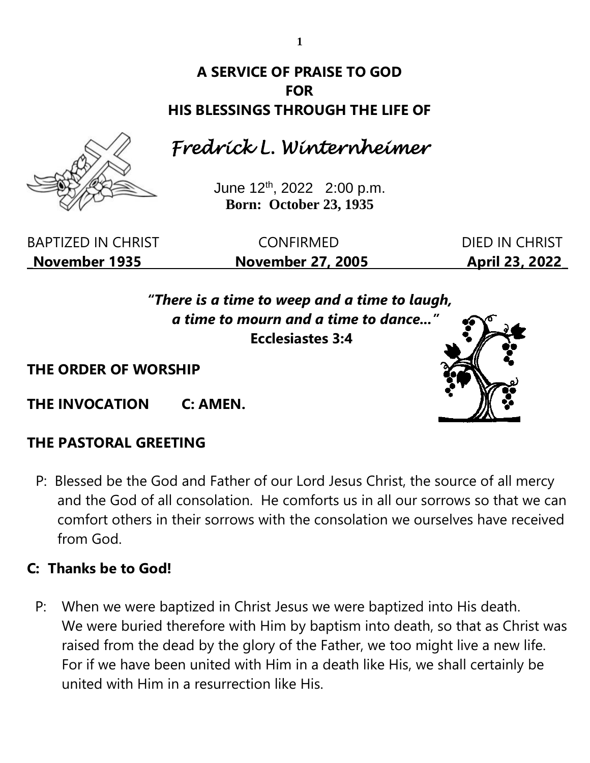# **A SERVICE OF PRAISE TO GOD FOR HIS BLESSINGS THROUGH THE LIFE OF**

# *Fredrick L. Winternheimer*

June 12th , 2022 2:00 p.m. **Born: October 23, 1935**

BAPTIZED IN CHRIST CONFIRMED DIED IN CHRIST **\_November 1935 November 27, 2005 April 23, 2022\_**

*"There is a time to weep and a time to laugh, a time to mourn and a time to dance..."* **Ecclesiastes 3:4**

**THE ORDER OF WORSHIP**

**THE INVOCATION C: AMEN.**

# **THE PASTORAL GREETING**

P: Blessed be the God and Father of our Lord Jesus Christ, the source of all mercy and the God of all consolation. He comforts us in all our sorrows so that we can comfort others in their sorrows with the consolation we ourselves have received from God.

# **C: Thanks be to God!**

P: When we were baptized in Christ Jesus we were baptized into His death. We were buried therefore with Him by baptism into death, so that as Christ was raised from the dead by the glory of the Father, we too might live a new life. For if we have been united with Him in a death like His, we shall certainly be united with Him in a resurrection like His.



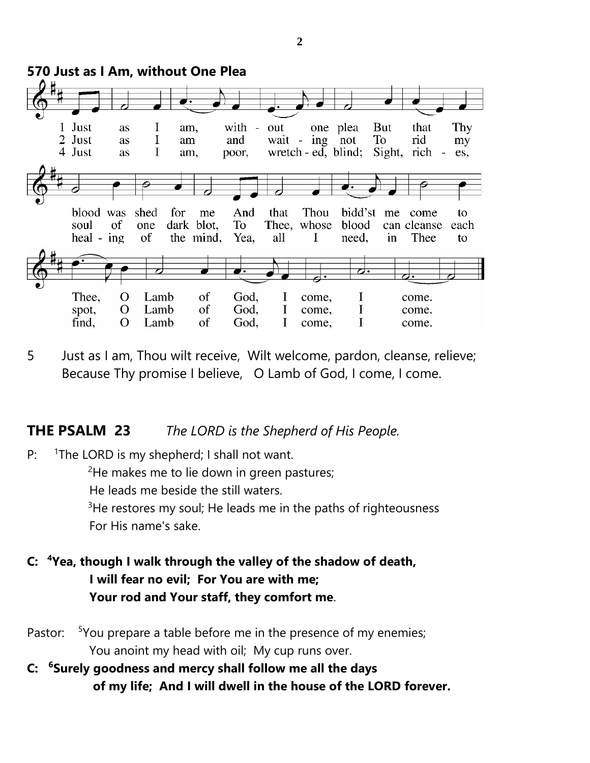

5 Just as I am, Thou wilt receive, Wilt welcome, pardon, cleanse, relieve; Because Thy promise I believe, O Lamb of God, I come, I come.

#### **THE PSALM 23** *The LORD is the Shepherd of His People.*

P: <sup>1</sup>The LORD is my shepherd; I shall not want.

 $2$ He makes me to lie down in green pastures;

He leads me beside the still waters.

 $3$ He restores my soul; He leads me in the paths of righteousness For His name's sake.

- **C: <sup>4</sup>Yea, though I walk through the valley of the shadow of death, I will fear no evil; For You are with me; Your rod and Your staff, they comfort me**.
- Pastor: <sup>5</sup>You prepare a table before me in the presence of my enemies; You anoint my head with oil; My cup runs over.
- **C: <sup>6</sup>Surely goodness and mercy shall follow me all the days of my life; And I will dwell in the house of the LORD forever.**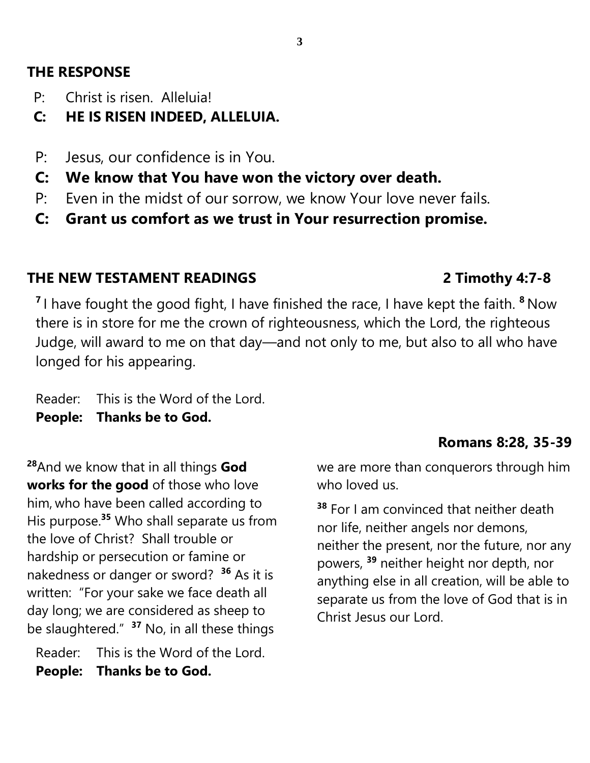### **THE RESPONSE**

- P: Christ is risen. Alleluia!
- **C: HE IS RISEN INDEED, ALLELUIA.**
- P: Jesus, our confidence is in You.
- **C: We know that You have won the victory over death.**
- P: Even in the midst of our sorrow, we know Your love never fails.
- **C: Grant us comfort as we trust in Your resurrection promise.**

# **THE NEW TESTAMENT READINGS 2 Timothy 4:7-8**

**7** I have fought the good fight, I have finished the race, I have kept the faith. **<sup>8</sup>** Now there is in store for me the crown of righteousness, which the Lord, the righteous Judge, will award to me on that day—and not only to me, but also to all who have longed for his appearing.

Reader: This is the Word of the Lord. **People: Thanks be to God.**

**<sup>28</sup>**And we know that in all things **God works for the good** of those who love him, who have been called according to His purpose.**<sup>35</sup>** Who shall separate us from the love of Christ? Shall trouble or hardship or persecution or famine or nakedness or danger or sword? **<sup>36</sup>** As it is written: "For your sake we face death all day long; we are considered as sheep to be slaughtered." **<sup>37</sup>** No, in all these things

Reader: This is the Word of the Lord. **People: Thanks be to God.**

# **Romans 8:28, 35-39**

we are more than conquerors through him who loved us.

**<sup>38</sup>** For I am convinced that neither death nor life, neither angels nor demons, neither the present, nor the future, nor any powers, **<sup>39</sup>** neither height nor depth, nor anything else in all creation, will be able to separate us from the love of God that is in Christ Jesus our Lord.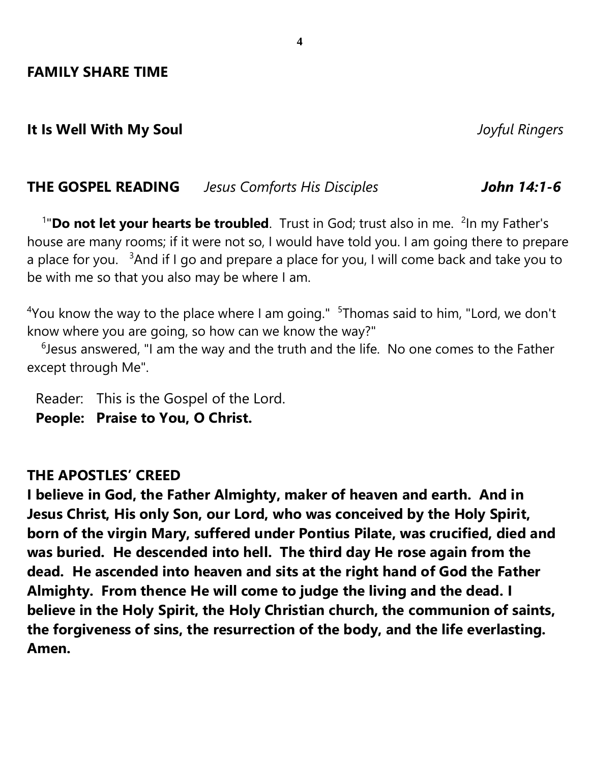#### **It Is Well With My Soul** *Joyful Ringers*

#### **THE GOSPEL READING** *Jesus Comforts His Disciples John 14:1-6*

<sup>1</sup>"**Do not let your hearts be troubled**. Trust in God; trust also in me. <sup>2</sup>In my Father's house are many rooms; if it were not so, I would have told you. I am going there to prepare a place for you.  $3$ And if I go and prepare a place for you, I will come back and take you to be with me so that you also may be where I am.

 $4$ You know the way to the place where I am going."  $5$ Thomas said to him, "Lord, we don't know where you are going, so how can we know the way?"

 $6$ Jesus answered, "I am the way and the truth and the life. No one comes to the Father except through Me".

Reader: This is the Gospel of the Lord. **People: Praise to You, O Christ.**

#### **THE APOSTLES' CREED**

**I believe in God, the Father Almighty, maker of heaven and earth. And in Jesus Christ, His only Son, our Lord, who was conceived by the Holy Spirit, born of the virgin Mary, suffered under Pontius Pilate, was crucified, died and was buried. He descended into hell. The third day He rose again from the dead. He ascended into heaven and sits at the right hand of God the Father Almighty. From thence He will come to judge the living and the dead. I believe in the Holy Spirit, the Holy Christian church, the communion of saints, the forgiveness of sins, the resurrection of the body, and the life everlasting. Amen.**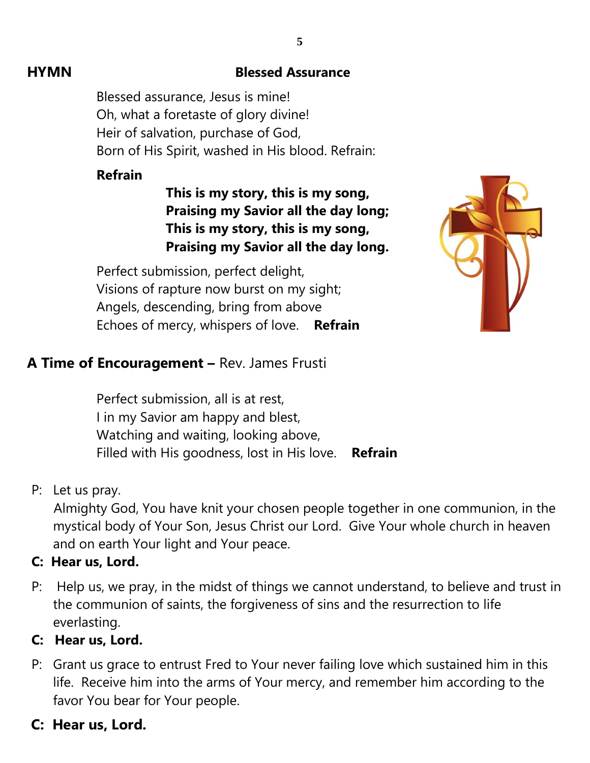#### **HYMN Blessed Assurance**

Blessed assurance, Jesus is mine! Oh, what a foretaste of glory divine! Heir of salvation, purchase of God, Born of His Spirit, washed in His blood. Refrain:

#### **Refrain**

**This is my story, this is my song, Praising my Savior all the day long; This is my story, this is my song, Praising my Savior all the day long.**

Perfect submission, perfect delight, Visions of rapture now burst on my sight; Angels, descending, bring from above Echoes of mercy, whispers of love. **Refrain**



#### **A Time of Encouragement –** Rev. James Frusti

Perfect submission, all is at rest, I in my Savior am happy and blest, Watching and waiting, looking above, Filled with His goodness, lost in His love. **Refrain**

#### P: Let us pray.

 Almighty God, You have knit your chosen people together in one communion, in the mystical body of Your Son, Jesus Christ our Lord. Give Your whole church in heaven and on earth Your light and Your peace.

#### **C: Hear us, Lord.**

P: Help us, we pray, in the midst of things we cannot understand, to believe and trust in the communion of saints, the forgiveness of sins and the resurrection to life everlasting.

#### **C: Hear us, Lord.**

P: Grant us grace to entrust Fred to Your never failing love which sustained him in this life. Receive him into the arms of Your mercy, and remember him according to the favor You bear for Your people.

# **C: Hear us, Lord.**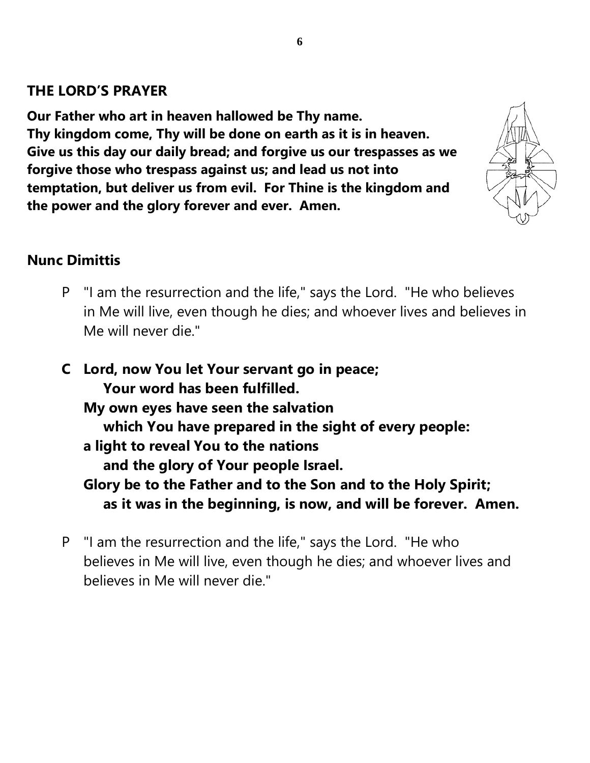### **THE LORD'S PRAYER**

**Our Father who art in heaven hallowed be Thy name. Thy kingdom come, Thy will be done on earth as it is in heaven. Give us this day our daily bread; and forgive us our trespasses as we forgive those who trespass against us; and lead us not into temptation, but deliver us from evil. For Thine is the kingdom and the power and the glory forever and ever. Amen.**



#### **Nunc Dimittis**

- P "I am the resurrection and the life," says the Lord. "He who believes in Me will live, even though he dies; and whoever lives and believes in Me will never die."
- **C Lord, now You let Your servant go in peace; Your word has been fulfilled. My own eyes have seen the salvation which You have prepared in the sight of every people: a light to reveal You to the nations and the glory of Your people Israel. Glory be to the Father and to the Son and to the Holy Spirit; as it was in the beginning, is now, and will be forever. Amen.**
- P "I am the resurrection and the life," says the Lord. "He who believes in Me will live, even though he dies; and whoever lives and believes in Me will never die."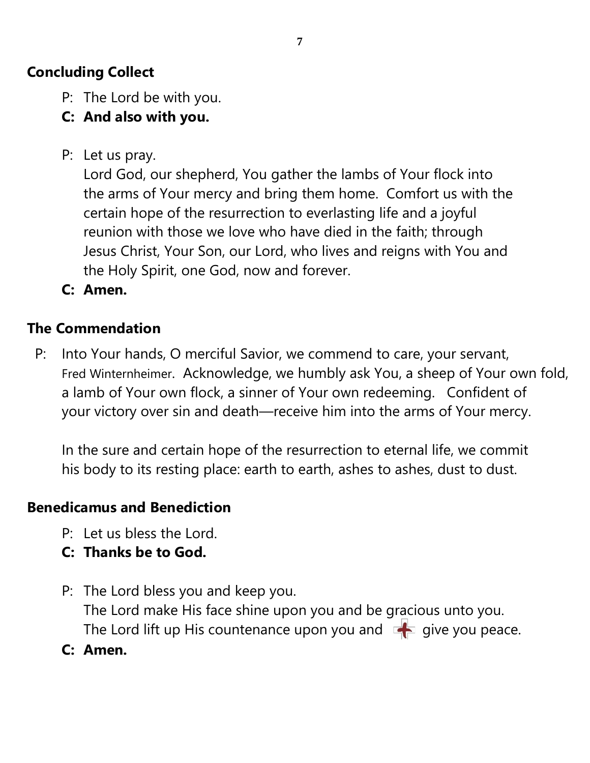# **Concluding Collect**

- P: The Lord be with you.
- **C: And also with you.**
- P: Let us pray.

Lord God, our shepherd, You gather the lambs of Your flock into the arms of Your mercy and bring them home. Comfort us with the certain hope of the resurrection to everlasting life and a joyful reunion with those we love who have died in the faith; through Jesus Christ, Your Son, our Lord, who lives and reigns with You and the Holy Spirit, one God, now and forever.

**C: Amen.**

# **The Commendation**

 P: Into Your hands, O merciful Savior, we commend to care, your servant, Fred Winternheimer. Acknowledge, we humbly ask You, a sheep of Your own fold, a lamb of Your own flock, a sinner of Your own redeeming. Confident of your victory over sin and death—receive him into the arms of Your mercy.

In the sure and certain hope of the resurrection to eternal life, we commit his body to its resting place: earth to earth, ashes to ashes, dust to dust.

# **Benedicamus and Benediction**

- P: Let us bless the Lord.
- **C: Thanks be to God.**
- P: The Lord bless you and keep you. The Lord make His face shine upon you and be gracious unto you. The Lord lift up His countenance upon you and  $\Box$  give you peace.
- **C: Amen.**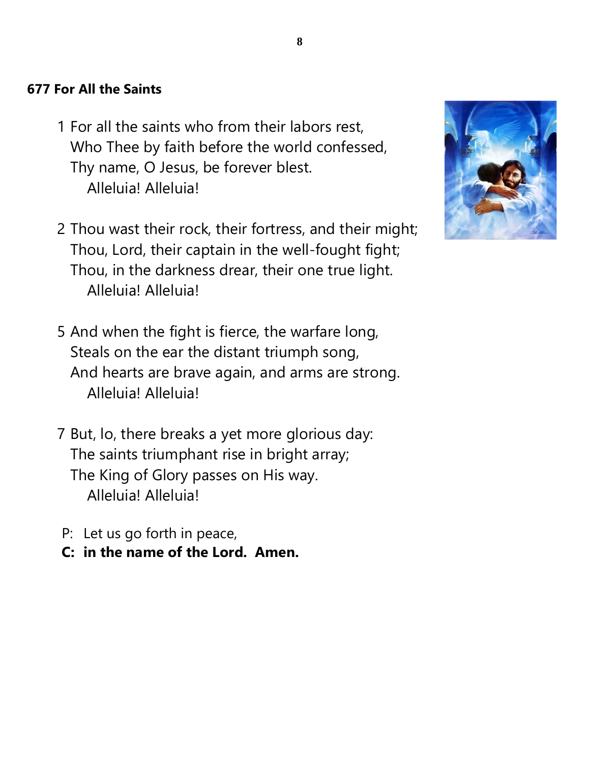## **677 For All the Saints**

- 1 For all the saints who from their labors rest, Who Thee by faith before the world confessed, Thy name, O Jesus, be forever blest. Alleluia! Alleluia!
- 2 Thou wast their rock, their fortress, and their might; Thou, Lord, their captain in the well-fought fight; Thou, in the darkness drear, their one true light. Alleluia! Alleluia!
- 5 And when the fight is fierce, the warfare long, Steals on the ear the distant triumph song, And hearts are brave again, and arms are strong. Alleluia! Alleluia!
- 7 But, lo, there breaks a yet more glorious day: The saints triumphant rise in bright array; The King of Glory passes on His way. Alleluia! Alleluia!
- P: Let us go forth in peace,
- **C: in the name of the Lord. Amen.**

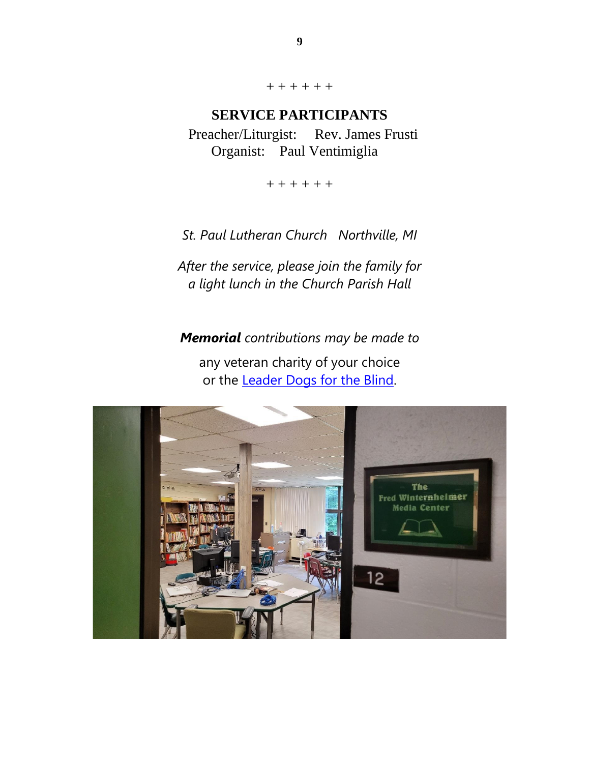+ + + + + +

#### **SERVICE PARTICIPANTS**

Preacher/Liturgist: Rev. James Frusti Organist: Paul Ventimiglia

+ + + + + +

*St. Paul Lutheran Church Northville, MI*

*After the service, please join the family for a light lunch in the Church Parish Hall*

*Memorial contributions may be made to*

any veteran charity of your choice or the [Leader Dogs for the Blind.](https://www.leaderdog.org/)